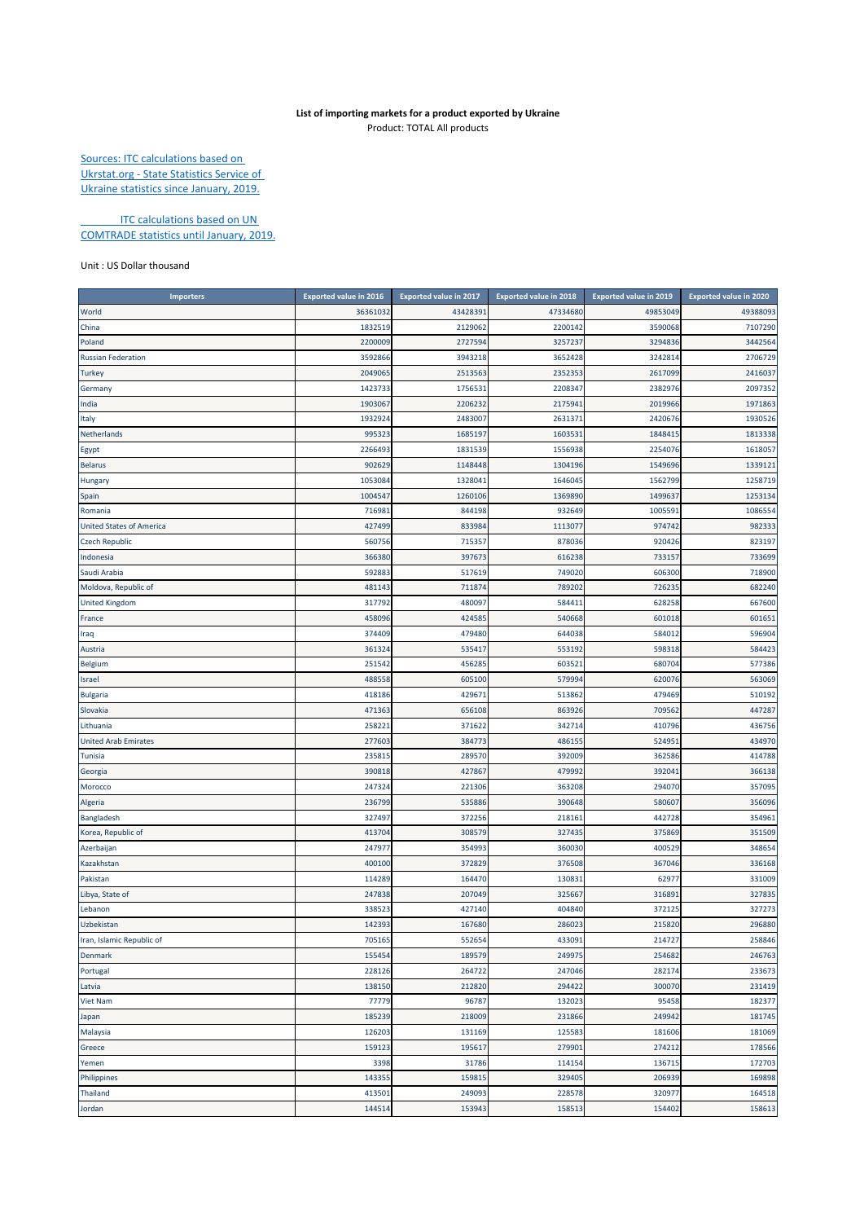## **List of importing markets for a product exported by Ukraine** Product: TOTAL All products

Sources: ITC calculations based on Ukrstat.org ‐ State Statistics Service of Ukraine statistics since January, 2019.

**ITC calculations based on UN** COMTRADE statistics until January, 2019.

## Unit : US Dollar thousand

| Importers                       | <b>Exported value in 2016</b> | <b>Exported value in 2017</b> | <b>Exported value in 2018</b> | <b>Exported value in 2019</b> | <b>Exported value in 2020</b> |
|---------------------------------|-------------------------------|-------------------------------|-------------------------------|-------------------------------|-------------------------------|
| World                           | 36361032                      | 4342839                       | 47334680                      | 49853049                      | 49388093                      |
| China                           | 1832519                       | 2129062                       | 2200142                       | 3590068                       | 7107290                       |
| Poland                          | 2200009                       | 2727594                       | 3257237                       | 3294836                       | 3442564                       |
| <b>Russian Federation</b>       | 3592866                       | 3943218                       | 3652428                       | 3242814                       | 2706729                       |
| <b>Turkey</b>                   | 2049065                       | 2513563                       | 2352353                       | 2617099                       | 2416037                       |
| Germany                         | 1423733                       | 1756531                       | 2208347                       | 2382976                       | 2097352                       |
| India                           | 190306                        | 2206232                       | 2175941                       | 2019966                       | 1971863                       |
| Italy                           | 193292                        | 2483007                       | 2631371                       | 242067                        | 1930526                       |
| Netherlands                     | 99532                         | 1685197                       | 1603531                       | 184841                        | 1813338                       |
| Egypt                           | 2266493                       | 1831539                       | 1556938                       | 225407                        | 1618057                       |
| <b>Belarus</b>                  | 90262                         | 1148448                       | 1304196                       | 154969                        | 1339121                       |
| Hungary                         | 105308                        | 1328041                       | 1646045                       | 1562799                       | 1258719                       |
| Spain                           | 1004547                       | 1260106                       | 1369890                       | 149963                        | 1253134                       |
| Romania                         | 71698                         | 844198                        | 932649                        | 100559                        | 1086554                       |
| <b>United States of America</b> | 427499                        | 833984                        | 1113077                       | 974742                        | 982333                        |
| <b>Czech Republic</b>           | 560756                        | 715357                        | 878036                        | 920426                        | 823197                        |
| Indonesia                       | 366380                        | 397673                        | 616238                        | 733157                        | 733699                        |
| Saudi Arabia                    | 592883                        | 517619                        | 749020                        | 606300                        | 718900                        |
| Moldova, Republic of            | 481143                        | 711874                        | 789202                        | 726235                        | 682240                        |
| <b>United Kingdom</b>           | 317792                        | 480097                        | 584411                        | 628258                        | 667600                        |
| France                          | 458096                        | 424585                        | 540668                        | 601018                        | 601651                        |
| Iraq                            | 374409                        | 479480                        | 644038                        | 584012                        | 596904                        |
| Austria                         | 361324                        | 535417                        | 553192                        | 598318                        | 584423                        |
| Belgium                         | 251542                        | 456285                        | 603521                        | 680704                        | 577386                        |
| Israel                          | 488558                        | 605100                        | 579994                        | 620076                        | 563069                        |
| <b>Bulgaria</b>                 | 418186                        | 42967                         | 513862                        | 479469                        | 510192                        |
| Slovakia                        | 471363                        | 656108                        | 863926                        | 709562                        | 447287                        |
| Lithuania                       | 25822                         | 371622                        | 342714                        | 410796                        | 436756                        |
| <b>United Arab Emirates</b>     | 277603                        | 384773                        | 486155                        | 52495                         | 434970                        |
| Tunisia                         | 23581                         | 289570                        | 392009                        | 362586                        | 414788                        |
| Georgia                         | 39081                         | 427867                        | 479992                        | 39204                         | 366138                        |
| Morocco                         | 247324                        | 221306                        | 363208                        | 294070                        | 357095                        |
| Algeria                         | 236799                        | 535886                        | 390648                        | 580607                        | 356096                        |
| Bangladesh                      | 327497                        | 372256                        | 218161                        | 442728                        | 354961                        |
| Korea, Republic of              | 413704                        | 308579                        | 327435                        | 375869                        | 351509                        |
| Azerbaijan                      | 247977                        | 354993                        | 360030                        | 40052                         | 348654                        |
| Kazakhstan                      | 400100                        | 372829                        | 376508                        | 367046                        | 336168                        |
| Pakistan                        | 114289                        | 164470                        | 130831                        | 62977                         | 331009                        |
| Libya, State of                 | 247838                        | 207049                        | 325667                        | 31689                         | 327835                        |
| Lebanon                         | 338523                        | 427140                        | 404840                        | 372125                        | 327273                        |
| Uzbekistan                      | 142393                        | 167680                        | 286023                        | 215820                        | 296880                        |
| Iran, Islamic Republic of       | 705165                        | 552654                        | 433091                        | 214727                        | 258846                        |
| <b>Denmark</b>                  | 155454                        | 189579                        | 249975                        | 254682                        | 246763                        |
| Portugal                        | 228126                        | 264722                        | 247046                        | 282174                        | 233673                        |
| Latvia                          | 138150                        | 212820                        | 294422                        | 300070                        | 231419                        |
| <b>Viet Nam</b>                 | 77779                         | 96787                         | 132023                        | 95458                         | 182377                        |
| Japan                           | 185239                        | 218009                        | 231866                        | 249942                        | 181745                        |
| Malaysia                        | 126203                        | 131169                        | 125583                        | 181606                        | 181069                        |
| Greece                          | 159123                        | 195617                        | 279901                        | 274212                        | 178566                        |
| Yemen                           | 3398                          | 31786                         | 114154                        | 136715                        | 172703                        |
| Philippines                     | 143355                        | 159815                        | 329405                        | 206939                        | 169898                        |
| Thailand                        | 413501                        | 249093                        | 228578                        | 320977                        | 164518                        |
| Jordan                          | 144514                        | 153943                        | 158513                        | 154402                        | 158613                        |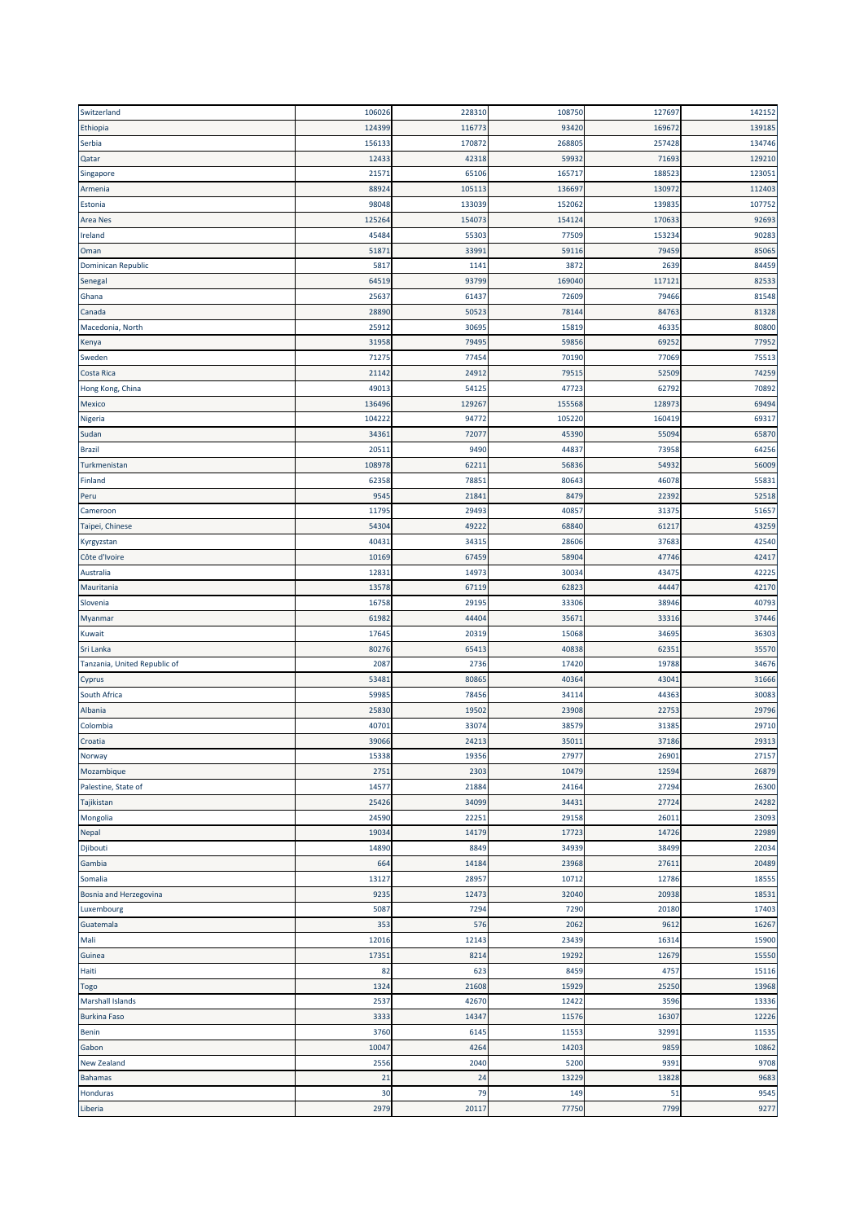| Switzerland                  | 106026 | 228310 | 108750 | 127697 | 142152 |
|------------------------------|--------|--------|--------|--------|--------|
| Ethiopia                     | 12439  | 116773 | 93420  | 169672 | 139185 |
| Serbia                       | 156133 | 170872 | 268805 | 257428 | 134746 |
| Qatar                        | 1243   | 42318  | 59932  | 71693  | 129210 |
| Singapore                    | 2157   | 65106  | 165717 | 188523 | 123051 |
| Armenia                      | 8892   | 105113 | 136697 | 130972 | 112403 |
| Estonia                      | 98048  | 133039 | 152062 | 139835 | 107752 |
| <b>Area Nes</b>              | 12526  | 154073 | 154124 | 170633 | 92693  |
| Ireland                      | 4548   | 55303  | 77509  | 153234 | 90283  |
| Oman                         | 5187   | 33991  | 59116  | 79459  | 85065  |
| <b>Dominican Republic</b>    | 581    | 1141   | 3872   | 2639   | 84459  |
| Senegal                      | 6451   | 93799  | 169040 | 117121 | 82533  |
| Ghana                        | 2563   | 61437  | 72609  | 79466  | 81548  |
| Canada                       | 2889   | 50523  | 78144  | 84763  | 81328  |
| Macedonia, North             | 2591   | 30695  | 15819  | 46335  | 80800  |
|                              | 31958  | 79495  | 59856  | 69252  | 77952  |
| Kenya                        | 7127   | 77454  | 70190  | 77069  | 75513  |
| Sweden                       |        |        |        |        | 74259  |
| Costa Rica                   | 2114   | 24912  | 79515  | 52509  |        |
| Hong Kong, China             | 4901   | 5412   | 47723  | 62792  | 70892  |
| Mexico                       | 136496 | 129267 | 155568 | 128973 | 69494  |
| Nigeria                      | 10422  | 94772  | 105220 | 160419 | 69317  |
| Sudan                        | 3436   | 72077  | 45390  | 55094  | 65870  |
| <b>Brazil</b>                | 2051   | 9490   | 44837  | 73958  | 64256  |
| Turkmenistan                 | 10897  | 62211  | 56836  | 54932  | 56009  |
| Finland                      | 6235   | 78851  | 80643  | 46078  | 55831  |
| Peru                         | 954    | 21841  | 8479   | 22392  | 52518  |
| Cameroon                     | 1179   | 29493  | 40857  | 31375  | 51657  |
| Taipei, Chinese              | 5430   | 49222  | 68840  | 61217  | 43259  |
| Kyrgyzstan                   | 4043   | 34315  | 28606  | 37683  | 42540  |
| Côte d'Ivoire                | 10169  | 67459  | 58904  | 47746  | 42417  |
| Australia                    | 1283   | 14973  | 30034  | 43475  | 42225  |
| Mauritania                   | 13578  | 67119  | 62823  | 44447  | 42170  |
| Slovenia                     | 1675   | 29195  | 33306  | 38946  | 40793  |
| Myanmar                      | 6198   | 44404  | 35671  | 33316  | 37446  |
| Kuwait                       | 1764   | 20319  | 15068  | 34695  | 36303  |
| Sri Lanka                    | 8027   | 65413  | 40838  | 62351  | 35570  |
| Tanzania, United Republic of | 208    | 2736   | 17420  | 19788  | 34676  |
| Cyprus                       | 5348   | 80865  | 40364  | 43041  | 31666  |
| South Africa                 | 5998   | 78456  | 34114  | 44363  | 30083  |
| Albania                      | 2583   | 19502  | 23908  | 22753  | 29796  |
| Colombia                     | 4070   | 33074  | 38579  | 31385  | 29710  |
| Croatia                      | 39066  | 24213  | 35011  | 37186  | 29313  |
| Norway                       | 15338  | 19356  | 27977  | 26901  | 27157  |
| Mozambique                   | 2751   | 2303   | 10479  | 12594  | 26879  |
| Palestine, State of          | 14577  | 21884  | 24164  | 27294  | 26300  |
| Tajikistan                   | 25426  | 34099  | 34431  | 27724  | 24282  |
| Mongolia                     | 24590  | 22251  | 29158  | 26011  | 23093  |
| Nepal                        | 1903   | 14179  | 17723  | 14726  | 22989  |
| Djibouti                     | 14890  | 8849   | 34939  | 38499  | 22034  |
| Gambia                       | 664    | 14184  | 23968  | 27611  | 20489  |
| Somalia                      | 13127  | 28957  | 10712  | 12786  | 18555  |
| Bosnia and Herzegovina       | 9235   | 12473  | 32040  | 20938  | 18531  |
| Luxembourg                   | 5087   | 7294   | 7290   | 20180  | 17403  |
| Guatemala                    | 353    | 576    | 2062   | 9612   | 16267  |
| Mali                         | 12016  | 12143  | 23439  | 16314  | 15900  |
|                              | 1735:  | 8214   | 19292  | 12679  | 15550  |
| Guinea                       | 82     | 623    | 8459   | 4757   | 15116  |
| Haiti                        |        |        |        |        |        |
| <b>Togo</b>                  | 1324   | 21608  | 15929  | 25250  | 13968  |
| <b>Marshall Islands</b>      | 2537   | 42670  | 12422  | 3596   | 13336  |
| <b>Burkina Faso</b>          | 3333   | 14347  | 11576  | 16307  | 12226  |
| <b>Benin</b>                 | 3760   | 6145   | 11553  | 32991  | 11535  |
| Gabon                        | 10047  | 4264   | 14203  | 9859   | 10862  |
| <b>New Zealand</b>           | 2556   | 2040   | 5200   | 9391   | 9708   |
| <b>Bahamas</b>               | 21     | 24     | 13229  | 13828  | 9683   |
| Honduras                     | 30     | 79     | 149    | 51     | 9545   |
| Liberia                      | 2979   | 20117  | 77750  | 7799   | 9277   |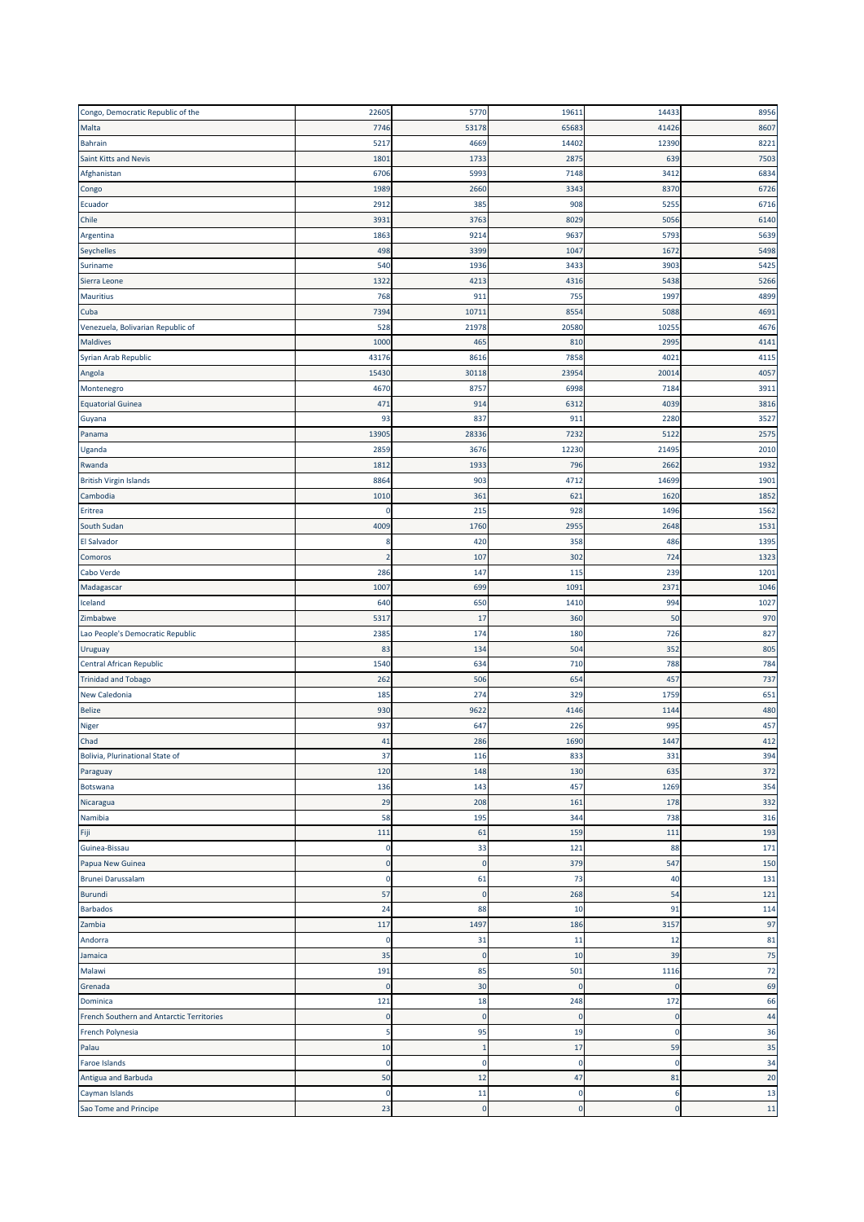| Congo, Democratic Republic of the         | 22605          | 5770           | 19611       | 14433    | 8956 |
|-------------------------------------------|----------------|----------------|-------------|----------|------|
| Malta                                     | 7746           | 53178          | 65683       | 41426    | 8607 |
| Bahrain                                   | 5217           | 4669           | 14402       | 12390    | 8221 |
| Saint Kitts and Nevis                     | 1801           | 1733           | 2875        | 639      | 7503 |
| Afghanistan                               | 6706           | 5993           | 7148        | 3412     | 6834 |
| Congo                                     | 1989           | 2660           | 3343        | 8370     | 6726 |
| Ecuador                                   | 2912           | 385            | 908         | 5255     | 6716 |
| Chile                                     | 3931           | 3763           | 8029        | 5056     | 6140 |
| Argentina                                 | 1863           | 9214           | 9637        | 5793     | 5639 |
| Seychelles                                | 498            | 3399           | 1047        | 167      | 5498 |
| Suriname                                  | 540            | 1936           | 3433        | 3903     | 5425 |
| Sierra Leone                              | 1322           | 4213           | 4316        | 5438     | 5266 |
| <b>Mauritius</b>                          | 768            | 911            | 755         | 1997     | 4899 |
| Cuba                                      | 7394           | 10711          | 8554        | 5088     | 4691 |
| Venezuela, Bolivarian Republic of         | 528            | 21978          | 20580       | 1025     | 4676 |
| <b>Maldives</b>                           | 1000           | 465            | 810         | 2995     | 4141 |
| Syrian Arab Republic                      | 43176          | 8616           | 7858        | 4021     | 4115 |
|                                           | 15430          |                |             |          |      |
| Angola                                    |                | 30118          | 23954       | 20014    | 4057 |
| Montenegro                                | 4670           | 8757           | 6998        | 7184     | 3911 |
| <b>Equatorial Guinea</b>                  | 471            | 914            | 6312        | 4039     | 3816 |
| Guyana                                    | 93             | 837            | 911         | 2280     | 3527 |
| Panama                                    | 1390           | 28336          | 7232        | 5122     | 2575 |
| Uganda                                    | 285            | 3676           | 12230       | 2149     | 2010 |
| Rwanda                                    | 181            | 1933           | 796         | 266      | 1932 |
| <b>British Virgin Islands</b>             | 8864           | 903            | 4712        | 14699    | 1901 |
| Cambodia                                  | 1010           | 361            | 621         | 1620     | 1852 |
| Eritrea                                   | 0              | 215            | 928         | 1496     | 1562 |
| South Sudan                               | 4009           | 1760           | 2955        | 2648     | 1531 |
| El Salvador                               | 8              | 420            | 358         | 486      | 1395 |
| Comoros                                   | $\overline{2}$ | 107            | 302         | 724      | 1323 |
| Cabo Verde                                | 286            | 147            | 115         | 239      | 1201 |
| Madagascar                                | 1007           | 699            | 1091        | 2371     | 1046 |
| Iceland                                   | 640            | 650            | 1410        | 994      | 1027 |
| Zimbabwe                                  | 5317           | 17             | 360         | 50       | 970  |
| Lao People's Democratic Republic          | 2385           | 174            | 180         | 726      | 827  |
| Uruguay                                   | 83             | 134            | 504         | 352      | 805  |
| Central African Republic                  | 1540           | 634            | 710         | 788      | 784  |
| <b>Trinidad and Tobago</b>                | 262            | 506            | 654         | 457      | 737  |
| New Caledonia                             | 185            | 274            | 329         | 1759     | 651  |
| <b>Belize</b>                             | 930            | 9622           | 4146        | 1144     | 480  |
| <b>Niger</b>                              | 937            | 647            | 226         | 995      | 457  |
| Chad                                      | 41             | 286            | 1690        | 1447     | 412  |
| Bolivia, Plurinational State of           | 37             | 116            | 833         | 331      | 394  |
| Paraguay                                  | 120            | 148            | 130         | 635      | 372  |
| Botswana                                  | 136            | 143            | 457         | 1269     | 354  |
| Nicaragua                                 | 29             | 208            | 161         | 178      | 332  |
| Namibia                                   | 58             | 195            | 344         | 738      | 316  |
| Fiji                                      | 111            | 61             | 159         | 111      | 193  |
| Guinea-Bissau                             | C              | 33             | 121         | 88       | 171  |
| Papua New Guinea                          | 0              | $\mathbf 0$    | 379         | 547      | 150  |
| <b>Brunei Darussalam</b>                  | 0              | 61             | 73          | 40       | 131  |
| Burundi                                   | 57             | $\mathbf 0$    | 268         | 54       | 121  |
| <b>Barbados</b>                           | 24             | 88             | 10          | 91       | 114  |
|                                           |                |                | 186         | 3157     | 97   |
| Zambia<br>Andorra                         | 117<br>0       | 1497<br>31     | 11          | 12       | 81   |
|                                           |                |                |             |          |      |
| Jamaica                                   | 35             | $\overline{0}$ | 10          | 39       | 75   |
| Malawi                                    | 191            | 85             | 501         | 1116     | 72   |
| Grenada                                   | $\mathbf 0$    | 30             | $\mathbf 0$ | $\Omega$ | 69   |
| Dominica                                  | 121            | 18             | 248         | 172      | 66   |
| French Southern and Antarctic Territories | $\mathbf 0$    | $\mathbf 0$    | $\mathbf 0$ | о        | 44   |
| French Polynesia                          |                |                |             | 0        | 36   |
|                                           | 5              | 95             | 19          |          |      |
| Palau                                     | 10             | $\mathbf{1}$   | 17          | 59       | 35   |
| Faroe Islands                             | $\mathbf 0$    | $\mathbf 0$    | $\pmb{0}$   | $\Omega$ | 34   |
| Antigua and Barbuda                       | 50             | 12             | 47          | 81       | 20   |
| Cayman Islands                            | $\mathbf 0$    | 11             | 0           | 6        | 13   |